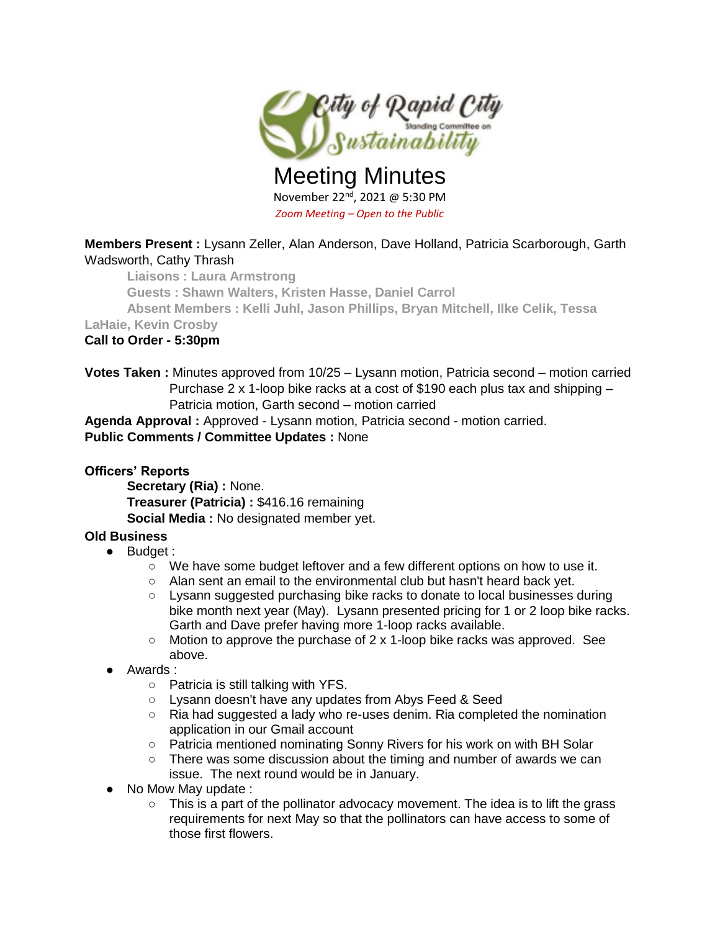

Meeting Minutes November 22nd, 2021 @ 5:30 PM *Zoom Meeting – Open to the Public*

# **Members Present :** Lysann Zeller, Alan Anderson, Dave Holland, Patricia Scarborough, Garth Wadsworth, Cathy Thrash

**Liaisons : Laura Armstrong**

**Guests : Shawn Walters, Kristen Hasse, Daniel Carrol**

**Absent Members : Kelli Juhl, Jason Phillips, Bryan Mitchell, Ilke Celik, Tessa** 

**LaHaie, Kevin Crosby**

# **Call to Order - 5:30pm**

**Votes Taken :** Minutes approved from 10/25 – Lysann motion, Patricia second – motion carried Purchase 2 x 1-loop bike racks at a cost of \$190 each plus tax and shipping – Patricia motion, Garth second – motion carried

**Agenda Approval :** Approved - Lysann motion, Patricia second - motion carried.

# **Public Comments / Committee Updates :** None

#### **Officers' Reports**

**Secretary (Ria) :** None. **Treasurer (Patricia) :** \$416.16 remaining **Social Media :** No designated member yet.

# **Old Business**

- Budget :
	- We have some budget leftover and a few different options on how to use it.
	- Alan sent an email to the environmental club but hasn't heard back yet.
	- Lysann suggested purchasing bike racks to donate to local businesses during bike month next year (May). Lysann presented pricing for 1 or 2 loop bike racks. Garth and Dave prefer having more 1-loop racks available.
	- $\circ$  Motion to approve the purchase of 2 x 1-loop bike racks was approved. See above.
- Awards :
	- Patricia is still talking with YFS.
	- Lysann doesn't have any updates from Abys Feed & Seed
	- Ria had suggested a lady who re-uses denim. Ria completed the nomination application in our Gmail account
	- Patricia mentioned nominating Sonny Rivers for his work on with BH Solar
	- $\circ$  There was some discussion about the timing and number of awards we can issue. The next round would be in January.
- No Mow May update :
	- $\circ$  This is a part of the pollinator advocacy movement. The idea is to lift the grass requirements for next May so that the pollinators can have access to some of those first flowers.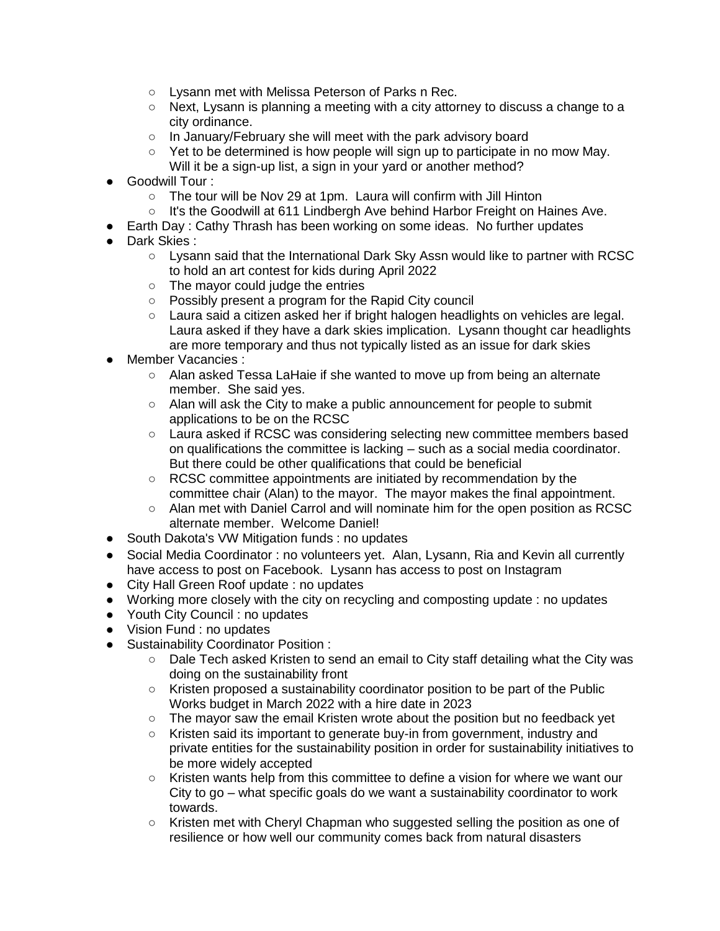- Lysann met with Melissa Peterson of Parks n Rec.
- Next, Lysann is planning a meeting with a city attorney to discuss a change to a city ordinance.
- In January/February she will meet with the park advisory board
- $\circ$  Yet to be determined is how people will sign up to participate in no mow May. Will it be a sign-up list, a sign in your yard or another method?
- Goodwill Tour :
	- The tour will be Nov 29 at 1pm. Laura will confirm with Jill Hinton
	- It's the Goodwill at 611 Lindbergh Ave behind Harbor Freight on Haines Ave.
- Earth Day : Cathy Thrash has been working on some ideas. No further updates
- Dark Skies :
	- Lysann said that the International Dark Sky Assn would like to partner with RCSC to hold an art contest for kids during April 2022
	- The mayor could judge the entries
	- Possibly present a program for the Rapid City council
	- Laura said a citizen asked her if bright halogen headlights on vehicles are legal. Laura asked if they have a dark skies implication. Lysann thought car headlights are more temporary and thus not typically listed as an issue for dark skies
- Member Vacancies :
	- Alan asked Tessa LaHaie if she wanted to move up from being an alternate member. She said yes.
	- Alan will ask the City to make a public announcement for people to submit applications to be on the RCSC
	- Laura asked if RCSC was considering selecting new committee members based on qualifications the committee is lacking – such as a social media coordinator. But there could be other qualifications that could be beneficial
	- RCSC committee appointments are initiated by recommendation by the committee chair (Alan) to the mayor. The mayor makes the final appointment.
	- Alan met with Daniel Carrol and will nominate him for the open position as RCSC alternate member. Welcome Daniel!
- South Dakota's VW Mitigation funds : no updates
- Social Media Coordinator : no volunteers yet. Alan, Lysann, Ria and Kevin all currently have access to post on Facebook. Lysann has access to post on Instagram
- City Hall Green Roof update : no updates
- Working more closely with the city on recycling and composting update : no updates
- Youth City Council : no updates
- Vision Fund : no updates
- Sustainability Coordinator Position :
	- Dale Tech asked Kristen to send an email to City staff detailing what the City was doing on the sustainability front
	- Kristen proposed a sustainability coordinator position to be part of the Public Works budget in March 2022 with a hire date in 2023
	- The mayor saw the email Kristen wrote about the position but no feedback yet
	- Kristen said its important to generate buy-in from government, industry and private entities for the sustainability position in order for sustainability initiatives to be more widely accepted
	- Kristen wants help from this committee to define a vision for where we want our City to go – what specific goals do we want a sustainability coordinator to work towards.
	- Kristen met with Cheryl Chapman who suggested selling the position as one of resilience or how well our community comes back from natural disasters